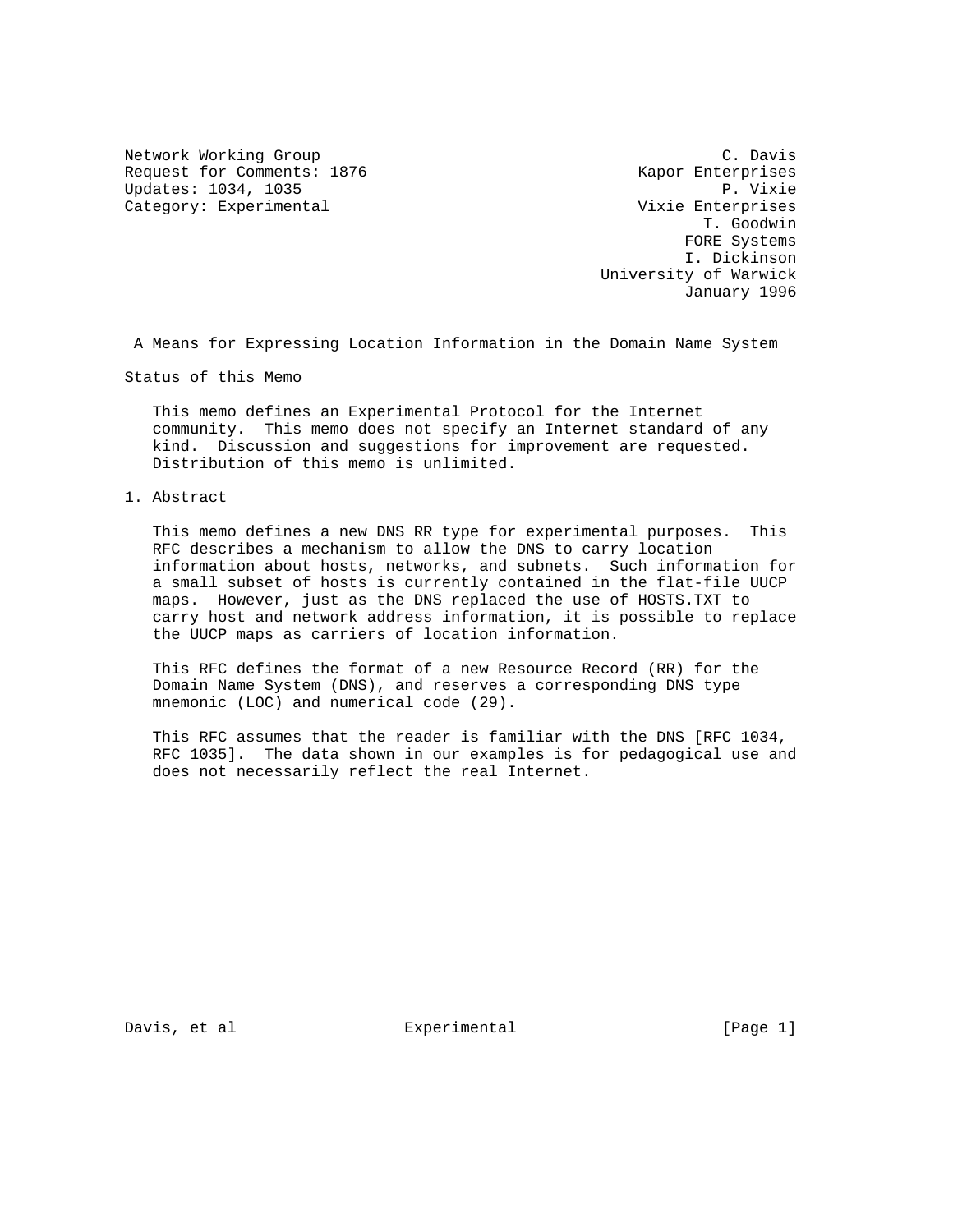Network Working Group C. Davis Request for Comments: 1876 Kapor Enterprises Updates: 1034, 1035 P. Vixie Category: Experimental and Category: Experimental Category: Experimental Category: Experimental

 T. Goodwin FORE Systems I. Dickinson University of Warwick January 1996

A Means for Expressing Location Information in the Domain Name System

Status of this Memo

 This memo defines an Experimental Protocol for the Internet community. This memo does not specify an Internet standard of any kind. Discussion and suggestions for improvement are requested. Distribution of this memo is unlimited.

1. Abstract

 This memo defines a new DNS RR type for experimental purposes. This RFC describes a mechanism to allow the DNS to carry location information about hosts, networks, and subnets. Such information for a small subset of hosts is currently contained in the flat-file UUCP maps. However, just as the DNS replaced the use of HOSTS.TXT to carry host and network address information, it is possible to replace the UUCP maps as carriers of location information.

 This RFC defines the format of a new Resource Record (RR) for the Domain Name System (DNS), and reserves a corresponding DNS type mnemonic (LOC) and numerical code (29).

 This RFC assumes that the reader is familiar with the DNS [RFC 1034, RFC 1035]. The data shown in our examples is for pedagogical use and does not necessarily reflect the real Internet.

Davis, et al  $\qquad \qquad$  Experimental  $\qquad \qquad$  [Page 1]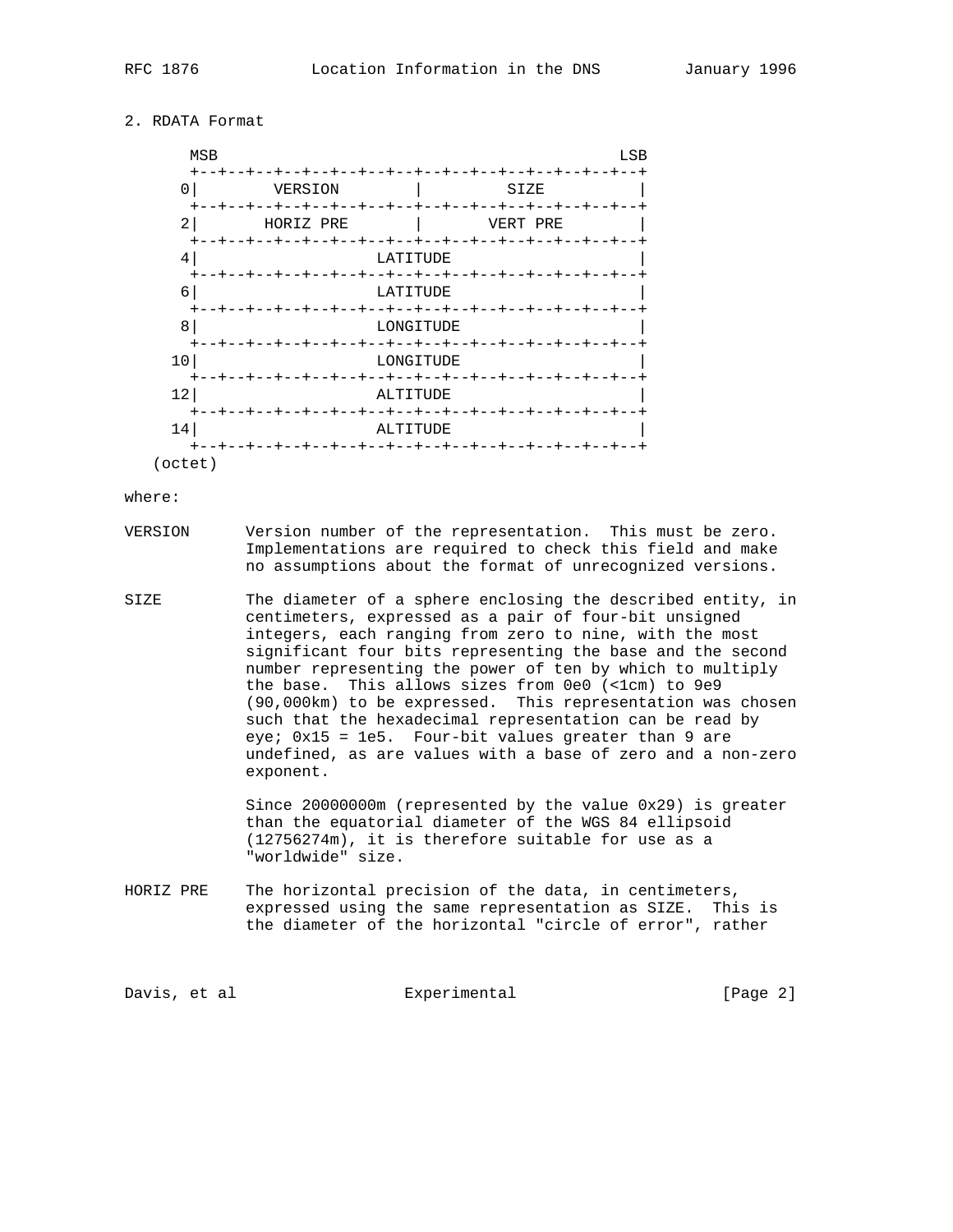# 2. RDATA Format

| <b>MSB</b>                  |                   | LSB                                |
|-----------------------------|-------------------|------------------------------------|
| $\pm$<br>0                  | VERSION           | $\,{}^+$<br>SIZE                   |
| $\div$<br>-+<br>2<br>$^{+}$ | -+--<br>HORIZ PRE | $\div$<br>+<br>-+<br>VERT PRE      |
| 4<br>$^{+}$<br>- - + -      |                   | LATITUDE<br>--+                    |
| 6                           |                   | LATITUDE                           |
| $^{+}$<br>- - + -<br>8      |                   | $+-$<br>$-+$<br>--+--<br>LONGITUDE |
| $\div$<br>10                |                   | -+--+<br>LONGITUDE                 |
| $^+$<br>12                  |                   | -+--<br>ALTITUDE                   |
| $\div$<br>$-+$<br>14        |                   | $- + -$<br>ALTITUDE                |
| $+ - - +$<br>octet          |                   | - +                                |

#### where:

- VERSION Version number of the representation. This must be zero. Implementations are required to check this field and make no assumptions about the format of unrecognized versions.
- SIZE The diameter of a sphere enclosing the described entity, in centimeters, expressed as a pair of four-bit unsigned integers, each ranging from zero to nine, with the most significant four bits representing the base and the second number representing the power of ten by which to multiply the base. This allows sizes from 0e0 (<1cm) to 9e9 (90,000km) to be expressed. This representation was chosen such that the hexadecimal representation can be read by eye; 0x15 = 1e5. Four-bit values greater than 9 are undefined, as are values with a base of zero and a non-zero exponent.

 Since 20000000m (represented by the value 0x29) is greater than the equatorial diameter of the WGS 84 ellipsoid (12756274m), it is therefore suitable for use as a "worldwide" size.

HORIZ PRE The horizontal precision of the data, in centimeters, expressed using the same representation as SIZE. This is the diameter of the horizontal "circle of error", rather

Davis, et al Experimental Experimental [Page 2]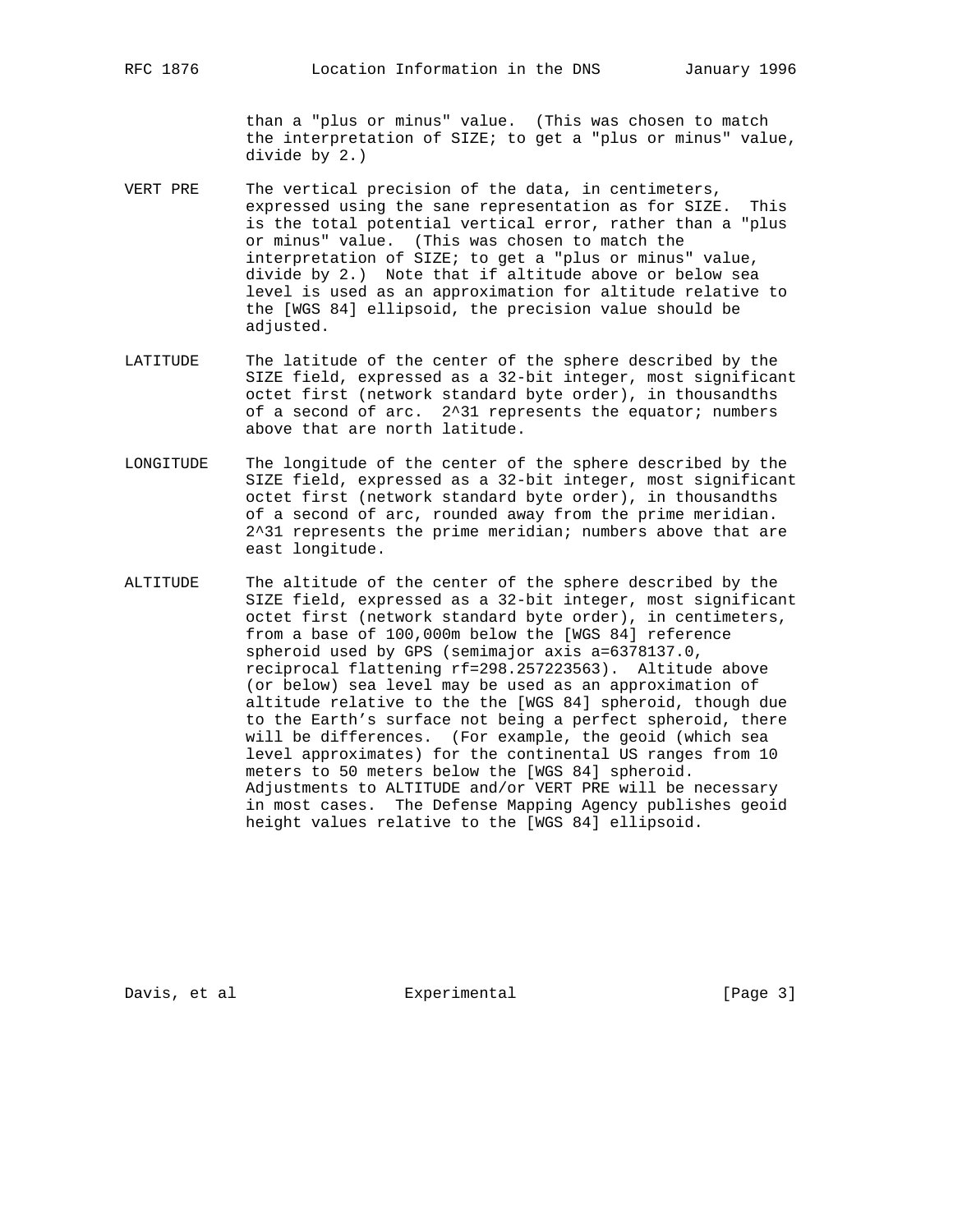than a "plus or minus" value. (This was chosen to match the interpretation of SIZE; to get a "plus or minus" value, divide by 2.)

- VERT PRE The vertical precision of the data, in centimeters, expressed using the sane representation as for SIZE. This is the total potential vertical error, rather than a "plus or minus" value. (This was chosen to match the interpretation of SIZE; to get a "plus or minus" value, divide by 2.) Note that if altitude above or below sea level is used as an approximation for altitude relative to the [WGS 84] ellipsoid, the precision value should be adjusted.
- LATITUDE The latitude of the center of the sphere described by the SIZE field, expressed as a 32-bit integer, most significant octet first (network standard byte order), in thousandths of a second of arc. 2^31 represents the equator; numbers above that are north latitude.
- LONGITUDE The longitude of the center of the sphere described by the SIZE field, expressed as a 32-bit integer, most significant octet first (network standard byte order), in thousandths of a second of arc, rounded away from the prime meridian. 2^31 represents the prime meridian; numbers above that are east longitude.
- ALTITUDE The altitude of the center of the sphere described by the SIZE field, expressed as a 32-bit integer, most significant octet first (network standard byte order), in centimeters, from a base of 100,000m below the [WGS 84] reference spheroid used by GPS (semimajor axis a=6378137.0, reciprocal flattening rf=298.257223563). Altitude above (or below) sea level may be used as an approximation of altitude relative to the the [WGS 84] spheroid, though due to the Earth's surface not being a perfect spheroid, there will be differences. (For example, the geoid (which sea level approximates) for the continental US ranges from 10 meters to 50 meters below the [WGS 84] spheroid. Adjustments to ALTITUDE and/or VERT PRE will be necessary in most cases. The Defense Mapping Agency publishes geoid height values relative to the [WGS 84] ellipsoid.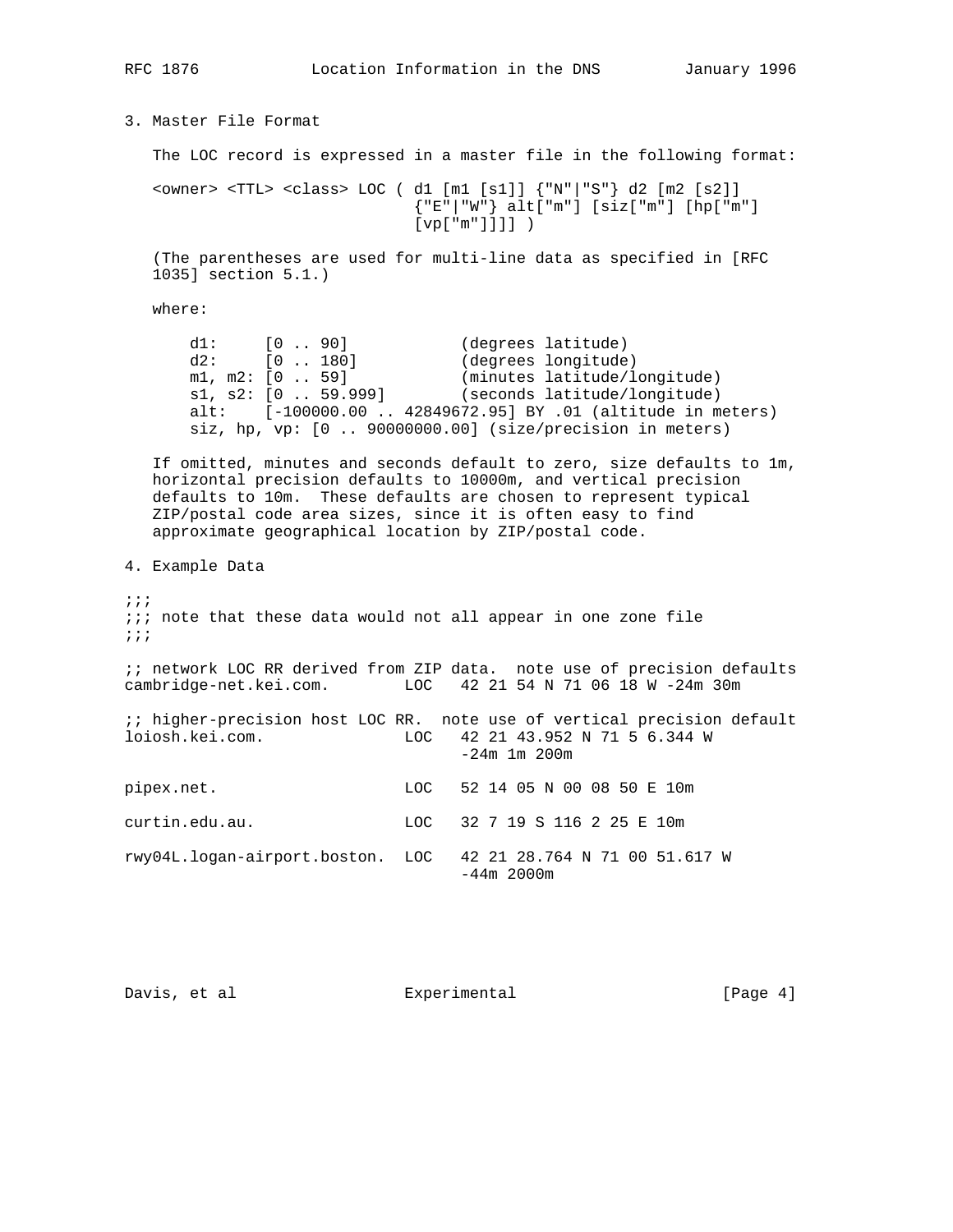3. Master File Format The LOC record is expressed in a master file in the following format: <owner> <TTL> <class> LOC ( d1 [m1 [s1]] {"N"|"S"} d2 [m2 [s2]] {"E"|"W"} alt["m"] [siz["m"] [hp["m"] [vp["m"]]]] ) (The parentheses are used for multi-line data as specified in [RFC 1035] section 5.1.) where: d1: [0 .. 90] (degrees latitude) d2: [0 .. 180] (degrees longitude) m1, m2: [0 .. 59] (minutes latitude/longitude) s1, s2: [0 .. 59.999] (seconds latitude/longitude) alt: [-100000.00 .. 42849672.95] BY .01 (altitude in meters) siz, hp, vp: [0 .. 90000000.00] (size/precision in meters) If omitted, minutes and seconds default to zero, size defaults to 1m, horizontal precision defaults to 10000m, and vertical precision defaults to 10m. These defaults are chosen to represent typical ZIP/postal code area sizes, since it is often easy to find approximate geographical location by ZIP/postal code. 4. Example Data ;;; ;;; note that these data would not all appear in one zone file ;;; ;; network LOC RR derived from ZIP data. note use of precision defaults cambridge-net.kei.com. LOC 42 21 54 N 71 06 18 W -24m 30m ;; higher-precision host LOC RR. note use of vertical precision default loiosh.kei.com. LOC 42 21 43.952 N 71 5 6.344 W -24m 1m 200m pipex.net. LOC 52 14 05 N 00 08 50 E 10m curtin.edu.au. LOC 32 7 19 S 116 2 25 E 10m rwy04L.logan-airport.boston. LOC 42 21 28.764 N 71 00 51.617 W -44m 2000m

Davis, et al  $\qquad \qquad$  Experimental  $\qquad \qquad$  [Page 4]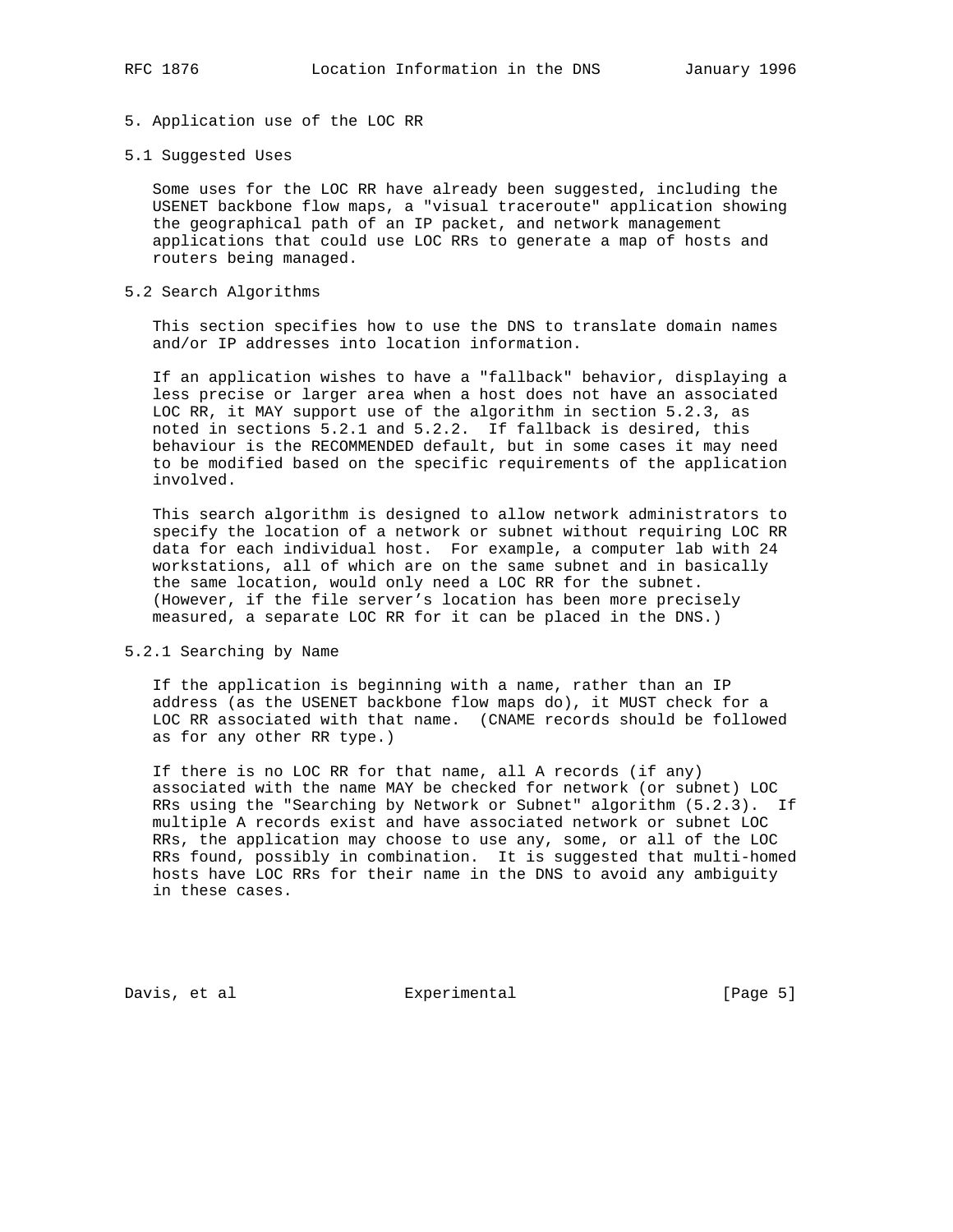## 5. Application use of the LOC RR

#### 5.1 Suggested Uses

 Some uses for the LOC RR have already been suggested, including the USENET backbone flow maps, a "visual traceroute" application showing the geographical path of an IP packet, and network management applications that could use LOC RRs to generate a map of hosts and routers being managed.

### 5.2 Search Algorithms

 This section specifies how to use the DNS to translate domain names and/or IP addresses into location information.

 If an application wishes to have a "fallback" behavior, displaying a less precise or larger area when a host does not have an associated LOC RR, it MAY support use of the algorithm in section 5.2.3, as noted in sections 5.2.1 and 5.2.2. If fallback is desired, this behaviour is the RECOMMENDED default, but in some cases it may need to be modified based on the specific requirements of the application involved.

 This search algorithm is designed to allow network administrators to specify the location of a network or subnet without requiring LOC RR data for each individual host. For example, a computer lab with 24 workstations, all of which are on the same subnet and in basically the same location, would only need a LOC RR for the subnet. (However, if the file server's location has been more precisely measured, a separate LOC RR for it can be placed in the DNS.)

## 5.2.1 Searching by Name

 If the application is beginning with a name, rather than an IP address (as the USENET backbone flow maps do), it MUST check for a LOC RR associated with that name. (CNAME records should be followed as for any other RR type.)

 If there is no LOC RR for that name, all A records (if any) associated with the name MAY be checked for network (or subnet) LOC RRs using the "Searching by Network or Subnet" algorithm (5.2.3). If multiple A records exist and have associated network or subnet LOC RRs, the application may choose to use any, some, or all of the LOC RRs found, possibly in combination. It is suggested that multi-homed hosts have LOC RRs for their name in the DNS to avoid any ambiguity in these cases.

Davis, et al  $\qquad \qquad$  Experimental  $\qquad \qquad$  [Page 5]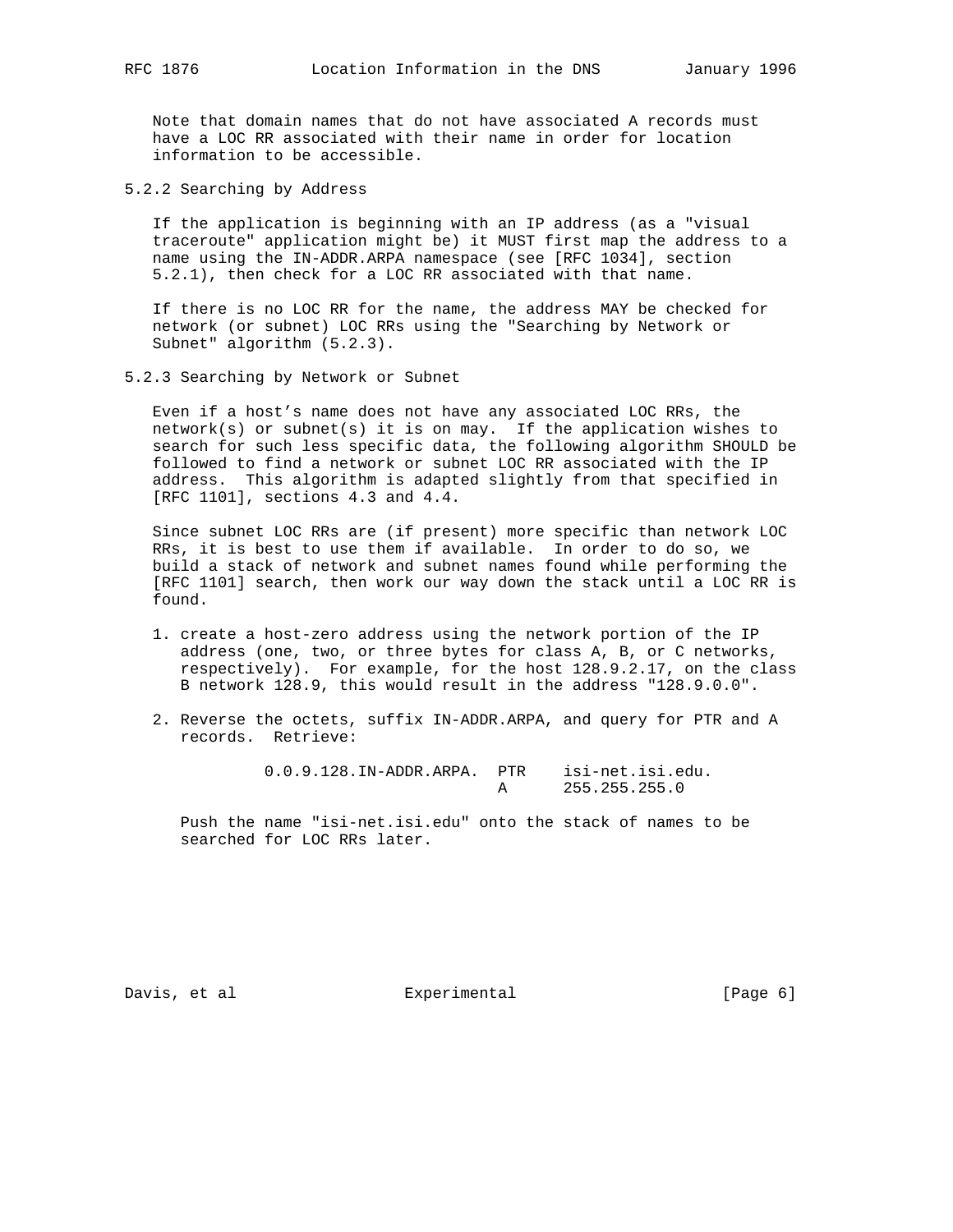Note that domain names that do not have associated A records must have a LOC RR associated with their name in order for location information to be accessible.

5.2.2 Searching by Address

 If the application is beginning with an IP address (as a "visual traceroute" application might be) it MUST first map the address to a name using the IN-ADDR.ARPA namespace (see [RFC 1034], section 5.2.1), then check for a LOC RR associated with that name.

 If there is no LOC RR for the name, the address MAY be checked for network (or subnet) LOC RRs using the "Searching by Network or Subnet" algorithm (5.2.3).

5.2.3 Searching by Network or Subnet

 Even if a host's name does not have any associated LOC RRs, the network(s) or subnet(s) it is on may. If the application wishes to search for such less specific data, the following algorithm SHOULD be followed to find a network or subnet LOC RR associated with the IP address. This algorithm is adapted slightly from that specified in [RFC 1101], sections 4.3 and 4.4.

 Since subnet LOC RRs are (if present) more specific than network LOC RRs, it is best to use them if available. In order to do so, we build a stack of network and subnet names found while performing the [RFC 1101] search, then work our way down the stack until a LOC RR is found.

- 1. create a host-zero address using the network portion of the IP address (one, two, or three bytes for class A, B, or C networks, respectively). For example, for the host 128.9.2.17, on the class B network 128.9, this would result in the address "128.9.0.0".
- 2. Reverse the octets, suffix IN-ADDR.ARPA, and query for PTR and A records. Retrieve:

 0.0.9.128.IN-ADDR.ARPA. PTR isi-net.isi.edu. A 255.255.255.0

 Push the name "isi-net.isi.edu" onto the stack of names to be searched for LOC RRs later.

Davis, et al  $\qquad \qquad$  Experimental  $\qquad \qquad$  [Page 6]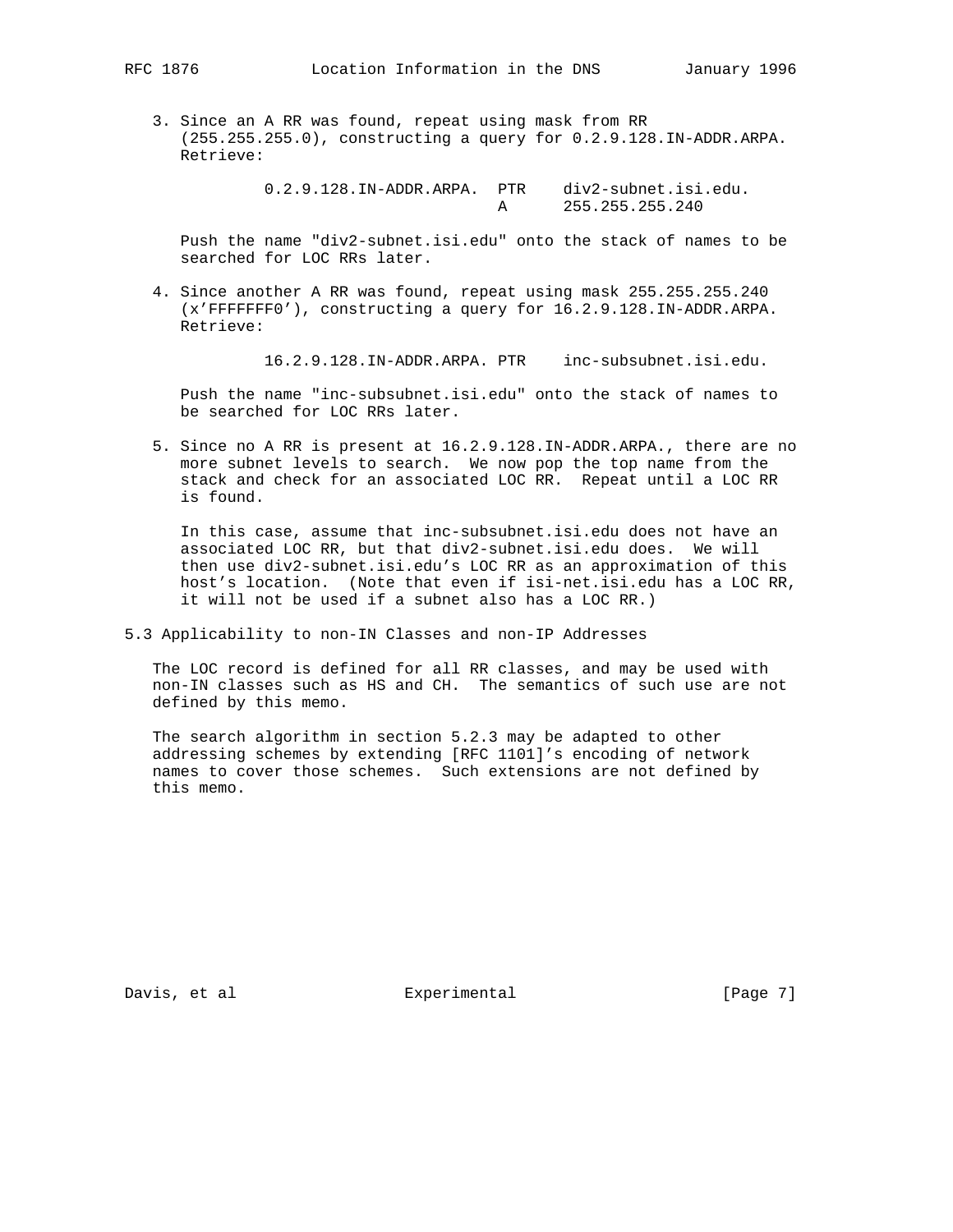3. Since an A RR was found, repeat using mask from RR (255.255.255.0), constructing a query for 0.2.9.128.IN-ADDR.ARPA. Retrieve:

> 0.2.9.128.IN-ADDR.ARPA. PTR div2-subnet.isi.edu. A 255.255.255.240

 Push the name "div2-subnet.isi.edu" onto the stack of names to be searched for LOC RRs later.

 4. Since another A RR was found, repeat using mask 255.255.255.240 (x'FFFFFFF0'), constructing a query for 16.2.9.128.IN-ADDR.ARPA. Retrieve:

16.2.9.128.IN-ADDR.ARPA. PTR inc-subsubnet.isi.edu.

 Push the name "inc-subsubnet.isi.edu" onto the stack of names to be searched for LOC RRs later.

 5. Since no A RR is present at 16.2.9.128.IN-ADDR.ARPA., there are no more subnet levels to search. We now pop the top name from the stack and check for an associated LOC RR. Repeat until a LOC RR is found.

 In this case, assume that inc-subsubnet.isi.edu does not have an associated LOC RR, but that div2-subnet.isi.edu does. We will then use div2-subnet.isi.edu's LOC RR as an approximation of this host's location. (Note that even if isi-net.isi.edu has a LOC RR, it will not be used if a subnet also has a LOC RR.)

5.3 Applicability to non-IN Classes and non-IP Addresses

 The LOC record is defined for all RR classes, and may be used with non-IN classes such as HS and CH. The semantics of such use are not defined by this memo.

 The search algorithm in section 5.2.3 may be adapted to other addressing schemes by extending [RFC 1101]'s encoding of network names to cover those schemes. Such extensions are not defined by this memo.

Davis, et al  $\qquad \qquad$  Experimental  $\qquad \qquad$  [Page 7]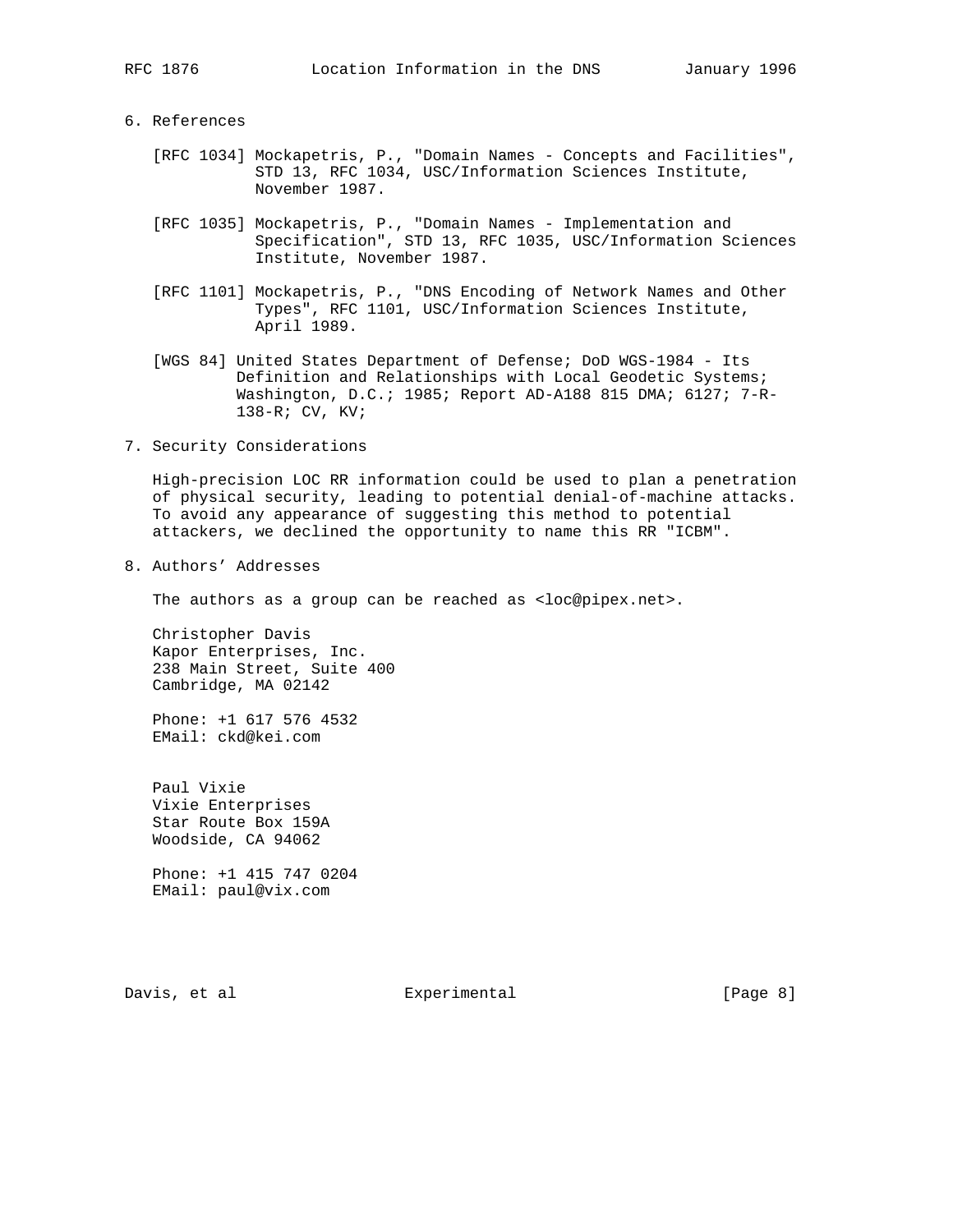### 6. References

- [RFC 1034] Mockapetris, P., "Domain Names Concepts and Facilities", STD 13, RFC 1034, USC/Information Sciences Institute, November 1987.
	- [RFC 1035] Mockapetris, P., "Domain Names Implementation and Specification", STD 13, RFC 1035, USC/Information Sciences Institute, November 1987.
	- [RFC 1101] Mockapetris, P., "DNS Encoding of Network Names and Other Types", RFC 1101, USC/Information Sciences Institute, April 1989.
	- [WGS 84] United States Department of Defense; DoD WGS-1984 Its Definition and Relationships with Local Geodetic Systems; Washington, D.C.; 1985; Report AD-A188 815 DMA; 6127; 7-R- 138-R; CV, KV;
- 7. Security Considerations

 High-precision LOC RR information could be used to plan a penetration of physical security, leading to potential denial-of-machine attacks. To avoid any appearance of suggesting this method to potential attackers, we declined the opportunity to name this RR "ICBM".

8. Authors' Addresses

The authors as a group can be reached as <loc@pipex.net>.

 Christopher Davis Kapor Enterprises, Inc. 238 Main Street, Suite 400 Cambridge, MA 02142

 Phone: +1 617 576 4532 EMail: ckd@kei.com

 Paul Vixie Vixie Enterprises Star Route Box 159A Woodside, CA 94062

 Phone: +1 415 747 0204 EMail: paul@vix.com

Davis, et al Experimental Experimental (Page 8)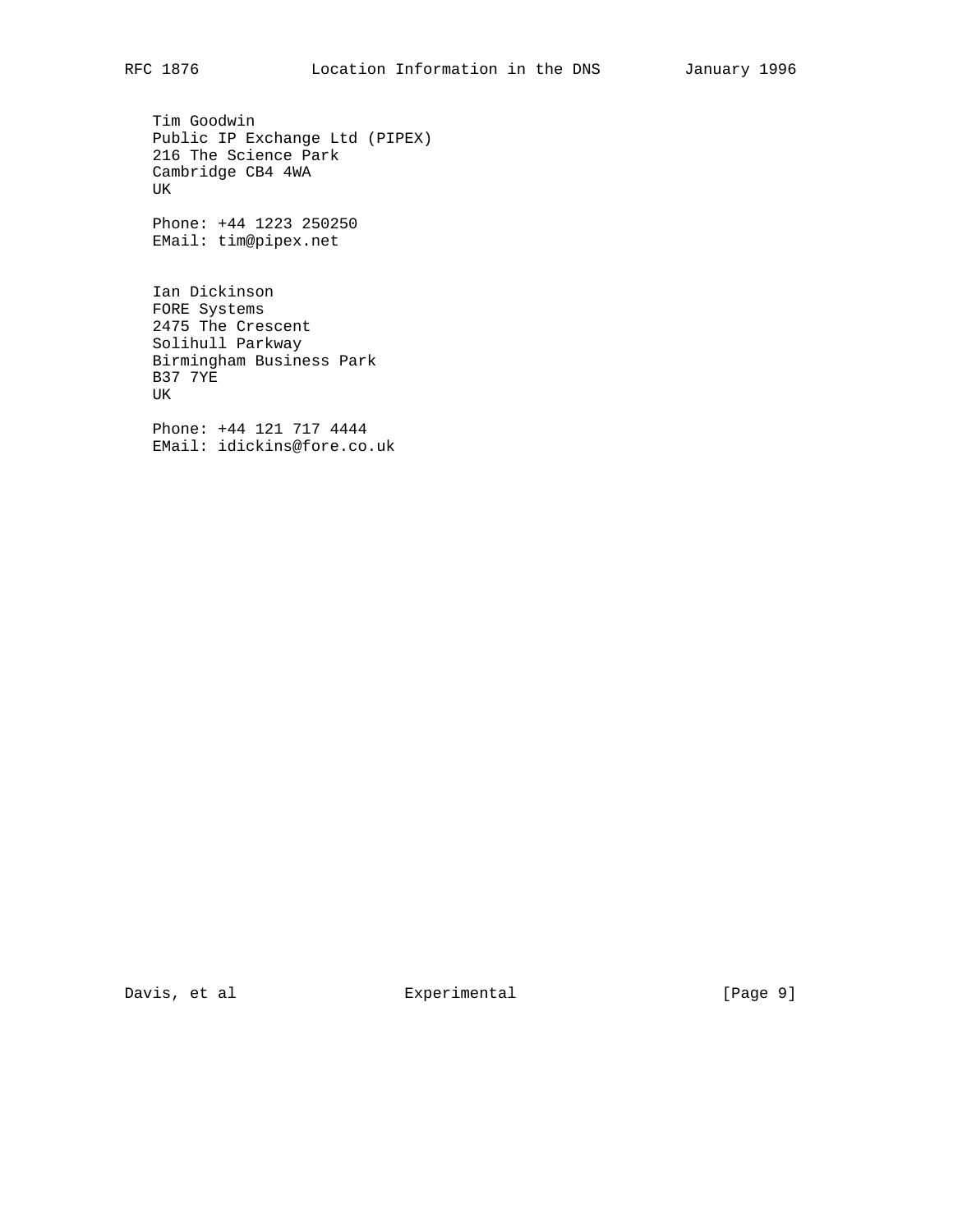Tim Goodwin Public IP Exchange Ltd (PIPEX) 216 The Science Park Cambridge CB4 4WA UK

 Phone: +44 1223 250250 EMail: tim@pipex.net

 Ian Dickinson FORE Systems 2475 The Crescent Solihull Parkway Birmingham Business Park B37 7YE UK

 Phone: +44 121 717 4444 EMail: idickins@fore.co.uk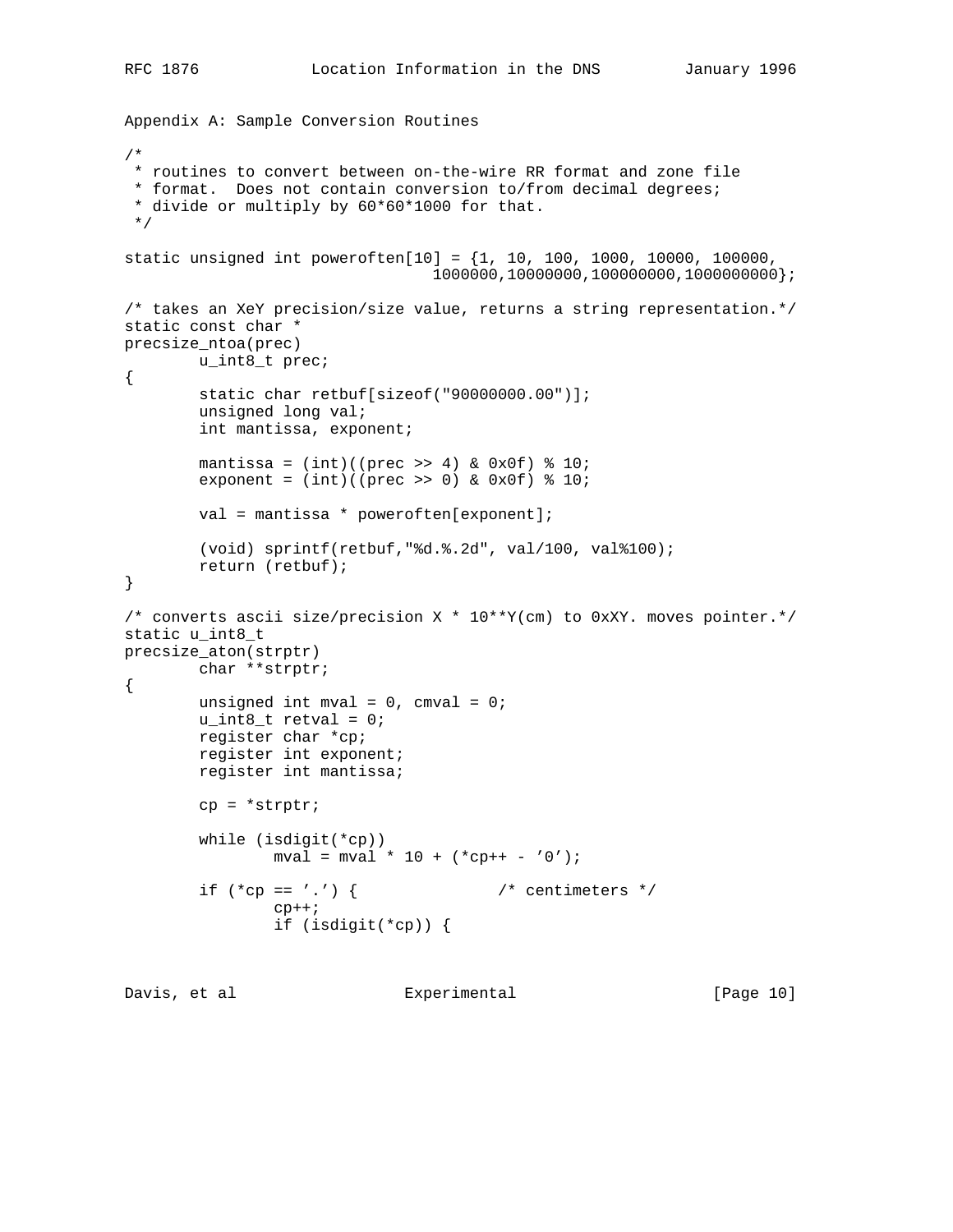```
Appendix A: Sample Conversion Routines
/*
 * routines to convert between on-the-wire RR format and zone file
  * format. Does not contain conversion to/from decimal degrees;
  * divide or multiply by 60*60*1000 for that.
  */
static unsigned int poweroften[10] = \{1, 10, 100, 1000, 10000, 100000, 100000, 100000, 100000, 100000, 100000, 100000, 100000, 100000, 100000, 100000, 100000, 100000, 100000, 100000, 100000, 100000, 10000, 10000, 10000, 1000000,10000000,100000000,1000000000};
/* takes an XeY precision/size value, returns a string representation.*/
static const char *
precsize_ntoa(prec)
         u_int8_t prec;
{
          static char retbuf[sizeof("90000000.00")];
          unsigned long val;
          int mantissa, exponent;
         mantissa = (int)((prec >> 4) & (0x0f) * 10;exponent = (int)((prec >> 0) & 0x0f) * 10; val = mantissa * poweroften[exponent];
          (void) sprintf(retbuf,"%d.%.2d", val/100, val%100);
          return (retbuf);
}
/* converts ascii size/precision X * 10**Y(cm) to 0xXY. moves pointer.*/
static u_int8_t
precsize_aton(strptr)
         char **strptr;
{
         unsigned int mval = 0, cmval = 0;
         u\_int8_t retval = 0;
          register char *cp;
          register int exponent;
          register int mantissa;
          cp = *strptr;
          while (isdigit(*cp))
                  mval = mval * 10 + (*cp++ - '0');if (*cp == '.'') \{ /* centimeters */
                  cp++; if (isdigit(*cp)) {
```

```
Davis, et al Experimental [Page 10]
```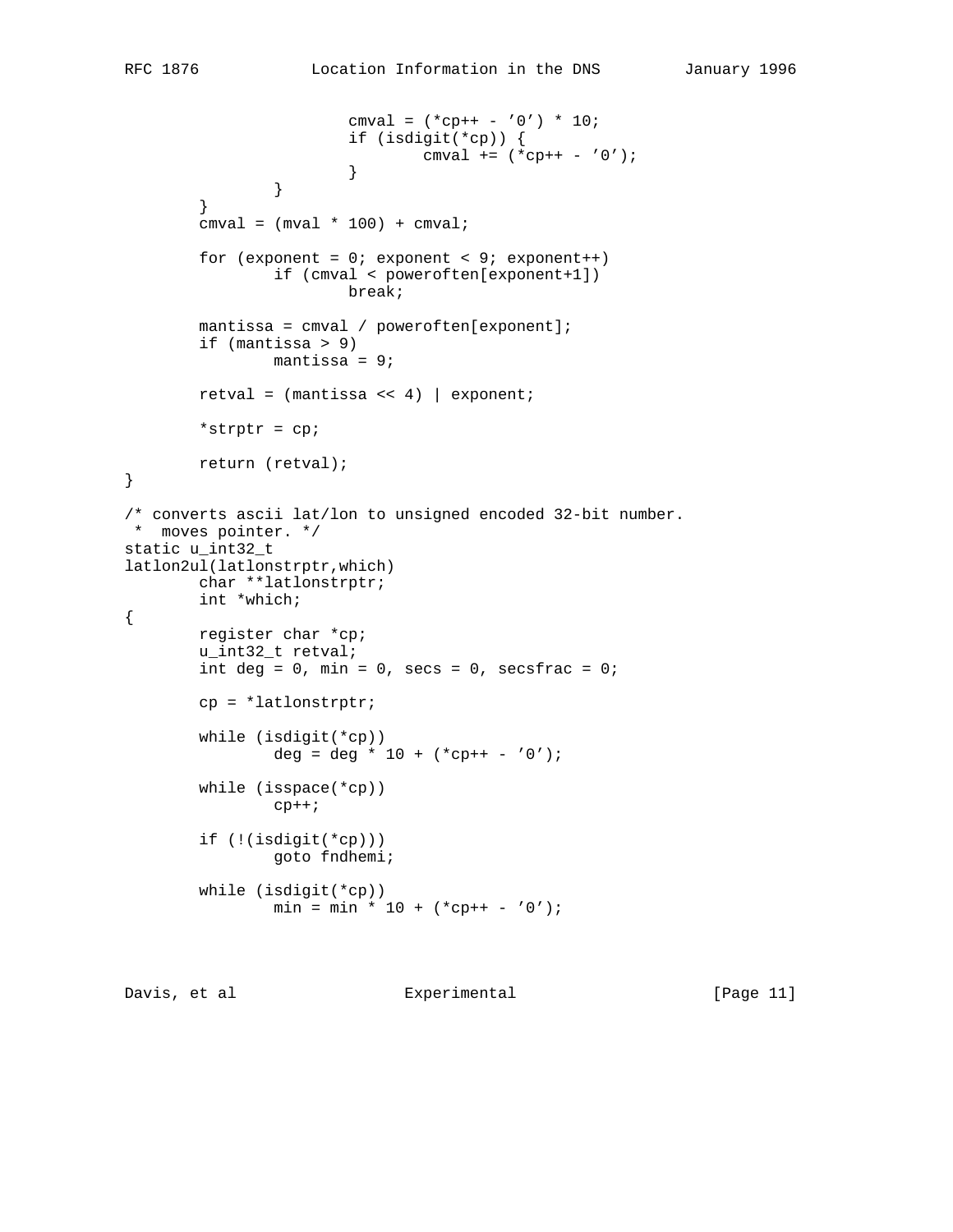```
cmval = (*\text{cp++ - '0'}) * 10; if (isdigit(*cp)) {
                               cmval += (*<b>cp++</b> - '0'); }
 }
 }
       cmval = (mval * 100) + cmval;for (exponent = 0; exponent < 9; exponent++)
                if (cmval < poweroften[exponent+1])
                        break;
        mantissa = cmval / poweroften[exponent];
        if (mantissa > 9)
                mantissa = 9;
       retval = (mantissa \, << \, 4) | exponent;
        *strptr = cp;
        return (retval);
}
/* converts ascii lat/lon to unsigned encoded 32-bit number.
 * moves pointer. */
static u_int32_t
latlon2ul(latlonstrptr,which)
        char **latlonstrptr;
        int *which;
        register char *cp;
        u_int32_t retval;
       int deg = 0, min = 0, secs = 0, secsfrac = 0;
        cp = *latlonstrptr;
        while (isdigit(*cp))
               deg = deg * 10 + (*\text{cp++ - '0'); while (isspace(*cp))
               cp++; if (!(isdigit(*cp)))
                goto fndhemi;
        while (isdigit(*cp))
               min = min * 10 + (*cp++ - '0');
```

```
Davis, et al Experimental [Page 11]
```
{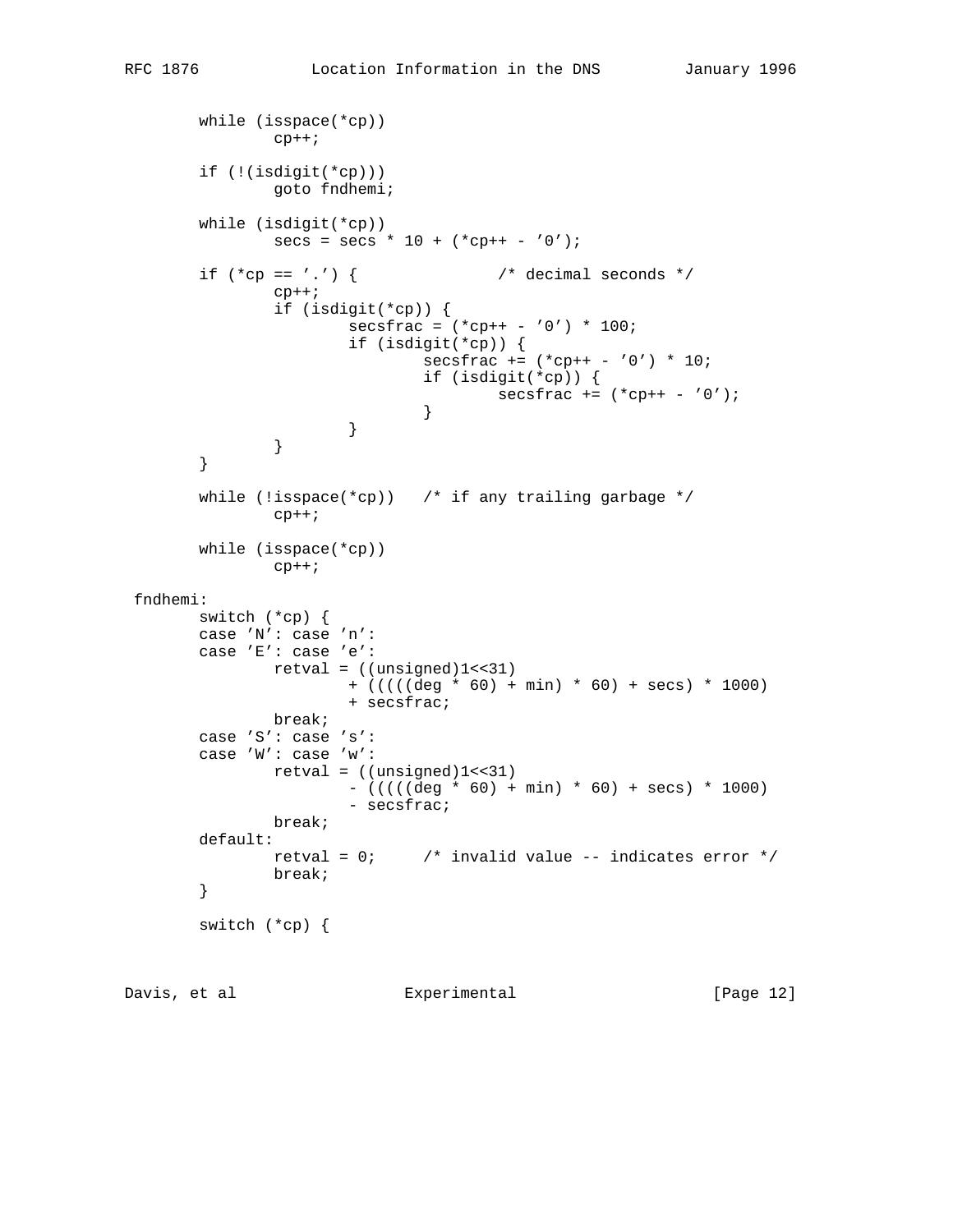```
 while (isspace(*cp))
               cp++; if (!(isdigit(*cp)))
                goto fndhemi;
        while (isdigit(*cp))
               secs = secs * 10 + (*cp++ - '0');if (*cp == '.'') ( /* decimal seconds */
               cp++; if (isdigit(*cp)) {
                       secsfrac = (*cp++ - '0') * 100; if (isdigit(*cp)) {
                               secsfrac += (*<i>c</i>p++ - '0') * 10; if (isdigit(*cp)) {
                               \texttt{secsfrac} + = (\text{*} \text{cp} + \text{*} - '0');
 }
 }
 }
        }
       while (!isspace(*cp)) \prime if any trailing garbage */
               cp++; while (isspace(*cp))
               cp++; fndhemi:
        switch (*cp) {
        case 'N': case 'n':
        case 'E': case 'e':
              retval = ((unsigned)1<<31) + (((((deg * 60) + min) * 60) + secs) * 1000)
                        + secsfrac;
               break;
        case 'S': case 's':
        case 'W': case 'w':
              retval = ((unsigned)1<<31)- (((((deg * 60) + min) * 60) + secs) * 1000)
                        - secsfrac;
               break;
        default:
               retval = 0; \prime invalid value -- indicates error */ break;
        }
        switch (*cp) {
```
Davis, et al  $\qquad \qquad$  Experimental [Page 12]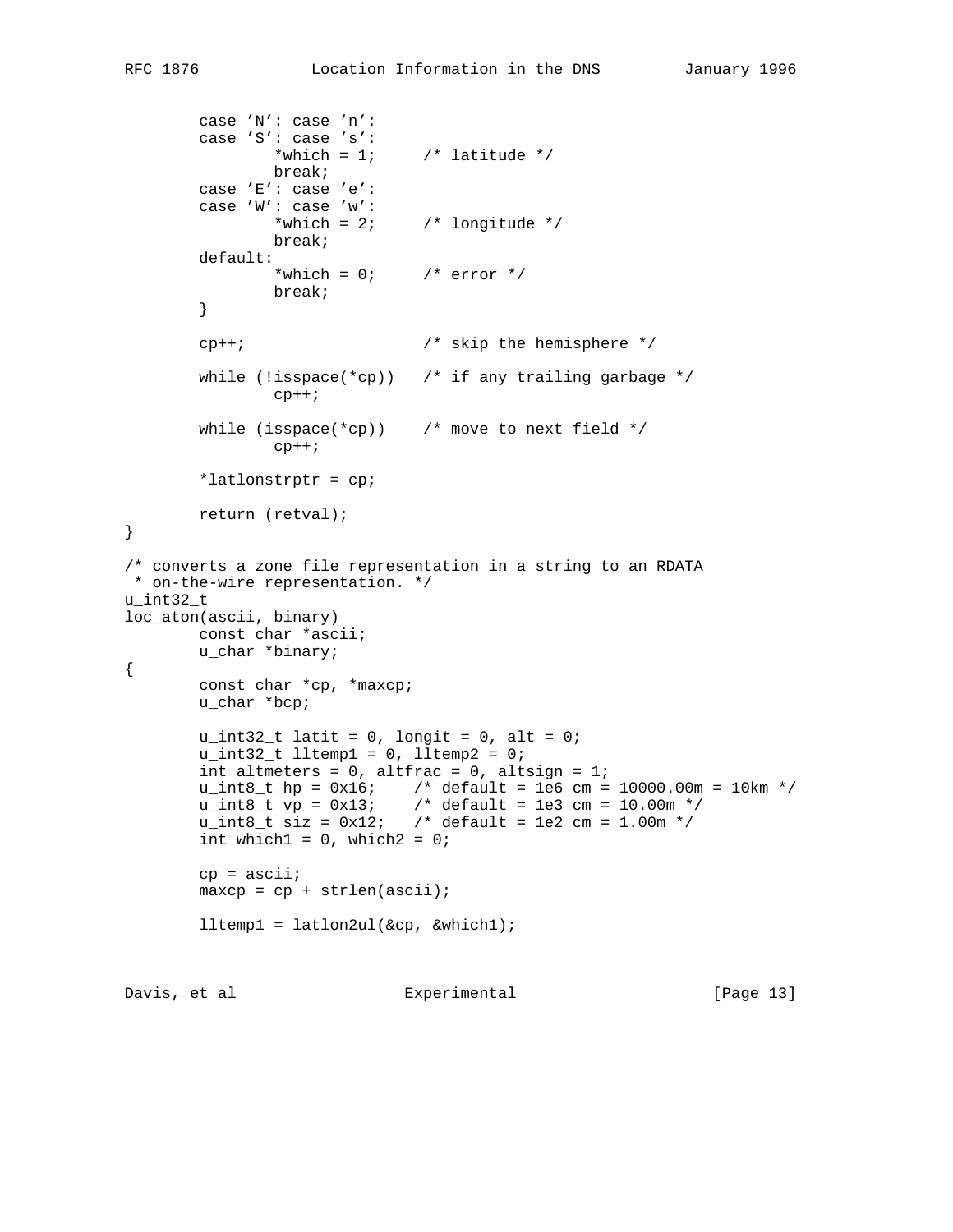```
 case 'N': case 'n':
         case 'S': case 's':
                *which = 1; /* latitude */
                break;
         case 'E': case 'e':
         case 'W': case 'w':
                *which = 2; /* longitude */
                break;
         default:
                *which = 0; /* error */
                break;
         }
       \mathsf{c}\mathsf{p}++; \qquad \qquad /* skip the hemisphere */
       while (!isspace(*cp)) \prime if any trailing garbage */
               cp++;while (isspace(*cp)) \quad /* move to next field */
                cp++; *latlonstrptr = cp;
        return (retval);
}
/* converts a zone file representation in a string to an RDATA
 * on-the-wire representation. */
u_int32_t
loc_aton(ascii, binary)
        const char *ascii;
        u_char *binary;
{
        const char *cp, *maxcp;
        u_char *bcp;
       u_int32_t latit = 0, longit = 0, alt = 0;
        u\_int32_t lltemp1 = 0, lltemp2 = 0;
        int altmeters = 0, altfrac = 0, altsign = 1;
u_int8_t hp = 0x16; /* default = 1e6 cm = 10000.00m = 10km */
u_{{}_{-}}int8_{-}t vp = 0x13; \qquad /* default = 1e3 cm = 10.00m */
u_{{}_{-}}int8_{-}t siz = 0x12; /* default = 1e2 cm = 1.00m */
       int which1 = 0, which2 = 0;
       cp = \text{ascii};
       maxcp = cp + strlen(ascii);lltemp1 = latlon2ul(\&cp, \&which1);Davis, et al \qquad \qquad Experimental [Page 13]
```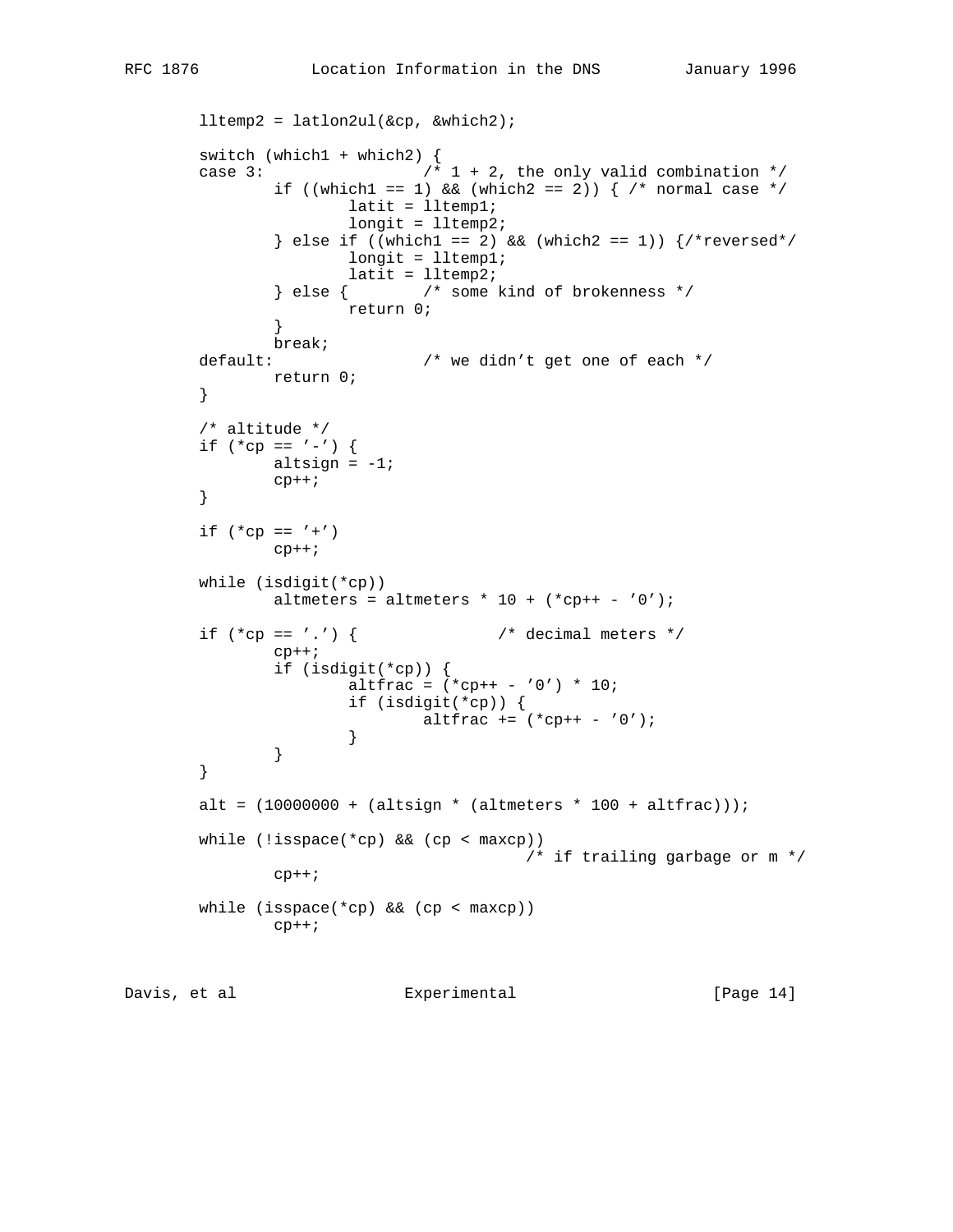```
 lltemp2 = latlon2ul(&cp, &which2);
        switch (which1 + which2) {
       case 3: \frac{1}{1} + 2, the only valid combination */
               if ((which1 == 1) && (which2 == 2)) { /* normal case */
                       latit = lltemp1;
                       longit = lltemp2;
               \} else if ((which1 == 2) && (which2 == 1)) \frac{\ }{\ } *reversed*/
                       longit = lltemp1;
                      latit = lltemp2;
                } else { /* some kind of brokenness */
               return 0;<br>}
 }
                break;
       default: \frac{1}{2} /* we didn't get one of each */
               return 0;
        }
        /* altitude */
       if (*cp == '-'') {
              altsign = -1;
               cp++; }
       if (*cp == '+')cp++; while (isdigit(*cp))
               altmeters = altmeters * 10 + (*\text{cp++ - '0'});
       if (*cp == ', ') { /* decimal meters */
               cp++; if (isdigit(*cp)) {
                      altfrac = (*\text{cp++ - '0'}) * 10; if (isdigit(*cp)) {
                       altfrac += (*\text{cp++ - '0'); }
 }
        }
       alt = (10000000 + (altsign * (altmeters * 100 + altfrac)));
       while (!isspace(*cp) && (cp < maxcp))
                                         /* if trailing garbage or m */
               cp++; while (isspace(*cp) && (cp < maxcp))
               \text{cp++};
```

```
Davis, et al \qquad \qquad Experimental [Page 14]
```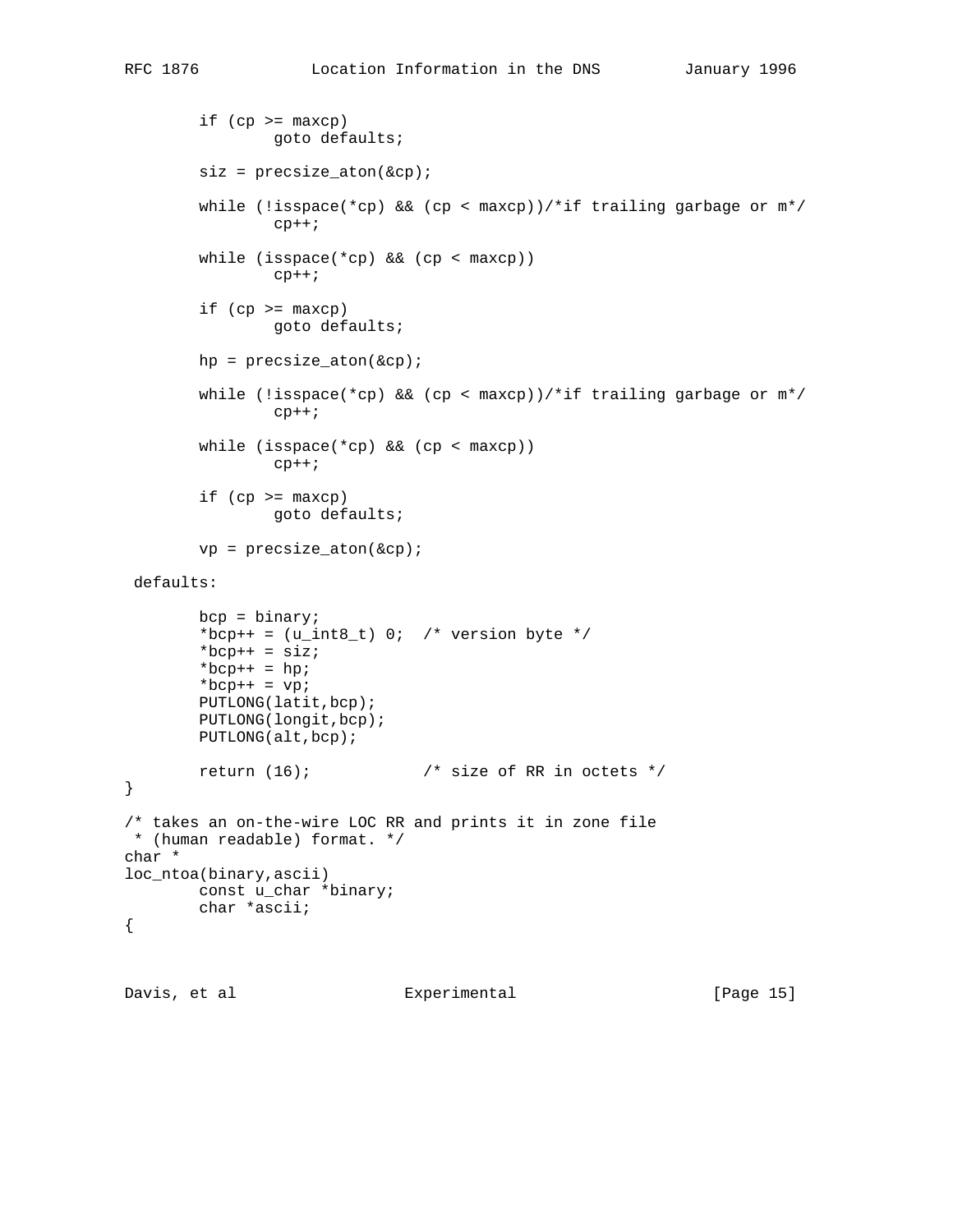```
if (cp >= maxcp) goto defaults;
        size = precise atom(\&cp);while (!isspace(*cp) && (cp < maxcp))/*if trailing garbage or m*/cp++;while (isspace(*cp) & (cp < maxcp))cp++;if (cp >= maxcp) goto defaults;
        hp = precsize\_atom(\&cp);while (!isspace(*cp) && (cp < maxcp))/*if trailing garbage or m*/cp++; while (isspace(*cp) && (cp < maxcp))
                cp++;if (cp >= maxcp) goto defaults;
        vp = precsize\_aton(\&cp); defaults:
         bcp = binary;
        *bcp++ = (u_{{\text{int8}}_t}^{\bullet}) 0; /* version byte */
        *bcp++ = siz;*bcp++ = hp;*bcp++ = vp; PUTLONG(latit,bcp);
         PUTLONG(longit,bcp);
         PUTLONG(alt,bcp);
        return (16); \frac{16}{16} /* size of RR in octets */
/* takes an on-the-wire LOC RR and prints it in zone file
 * (human readable) format. */
char *
loc_ntoa(binary,ascii)
         const u_char *binary;
         char *ascii;
```
}

{

Davis, et al  $\qquad \qquad$  Experimental  $\qquad \qquad$  [Page 15]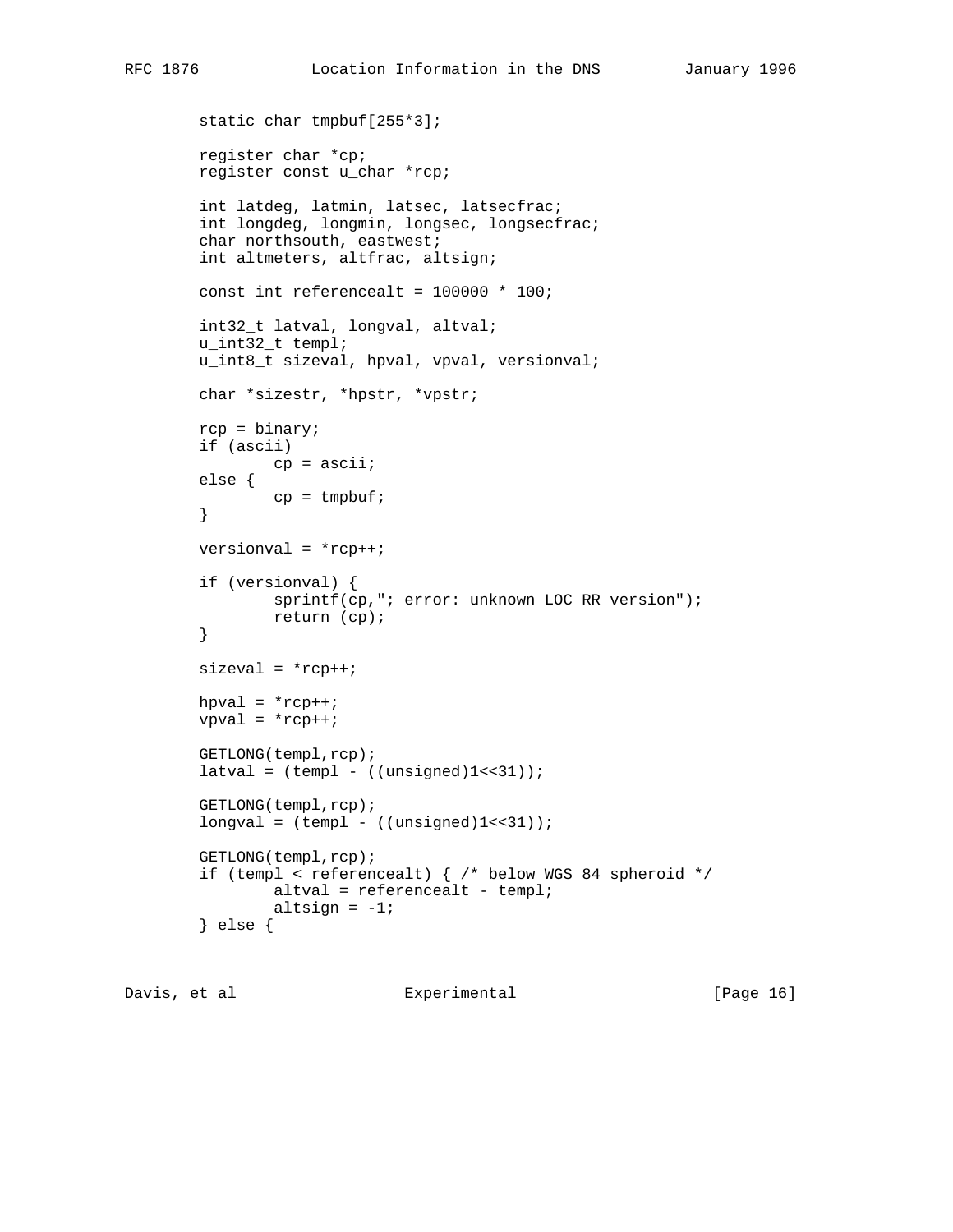```
 static char tmpbuf[255*3];
 register char *cp;
 register const u_char *rcp;
 int latdeg, latmin, latsec, latsecfrac;
 int longdeg, longmin, longsec, longsecfrac;
 char northsouth, eastwest;
 int altmeters, altfrac, altsign;
const int referencealt = 100000 * 100;
 int32_t latval, longval, altval;
 u_int32_t templ;
 u_int8_t sizeval, hpval, vpval, versionval;
 char *sizestr, *hpstr, *vpstr;
rcp = binary;
 if (ascii)
        cp = ascii;
 else {
       cp = tmpbuf; }
 versionval = *rcp++;
 if (versionval) {
        sprintf(cp,"; error: unknown LOC RR version");
         return (cp);
 }
sizeval = *rcp++;hpval = *rep++;vpval = *rcp++;
 GETLONG(templ,rcp);
latural = (templ - ((unsigned)l<<31)); GETLONG(templ,rcp);
longval = (temp1 - ((unsigned)1<<31));
 GETLONG(templ,rcp);
if (templ < referencealt) { /* below WGS 84 spheroid */altval = referencealt - templ;
        altsign = -1; } else {
```
Davis, et al  $\qquad \qquad$  Experimental [Page 16]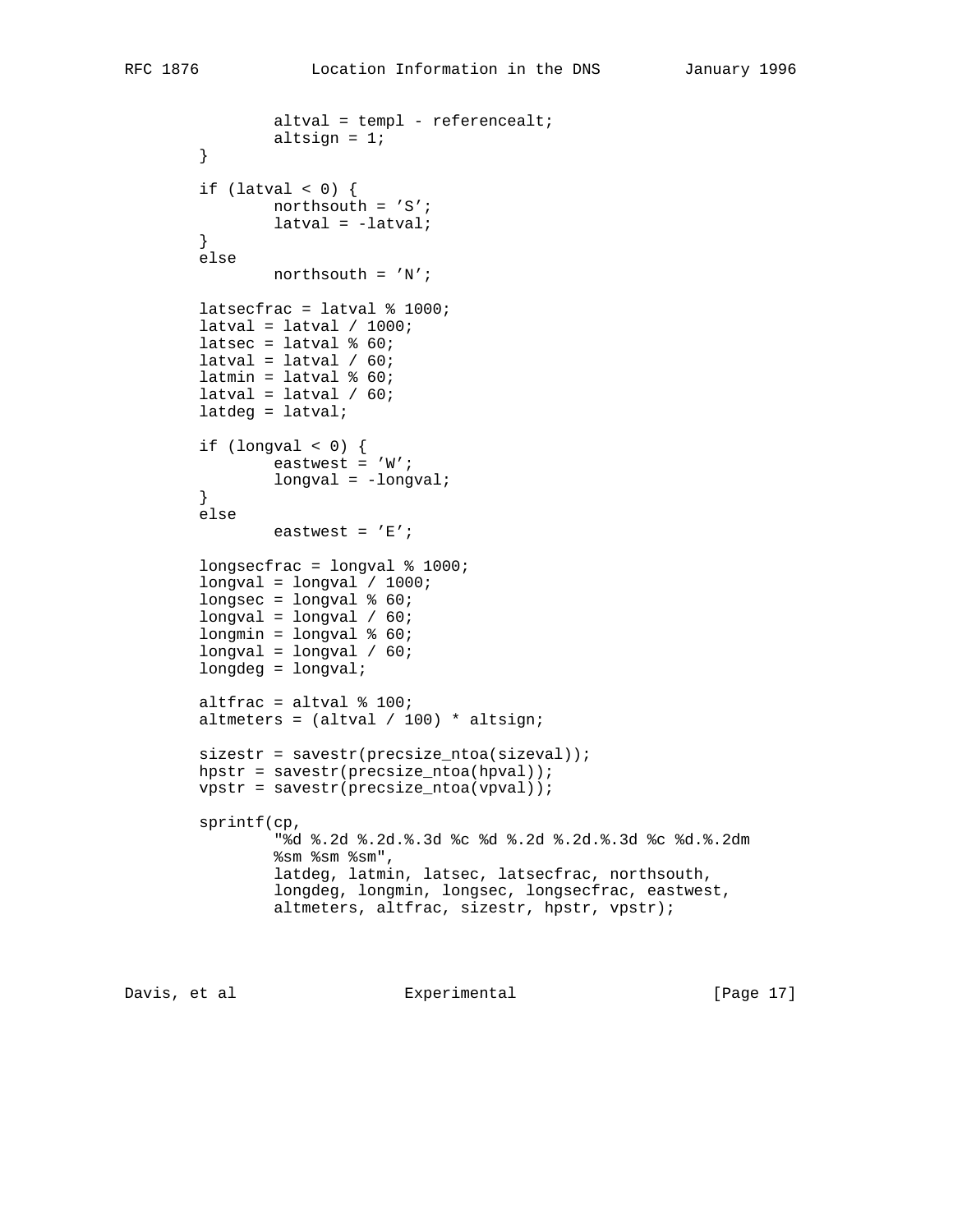```
 altval = templ - referencealt;
        altsign = 1;
 }
if (latval < 0) \{ northsouth = 'S';
         latval = -latval;
 }
 else
        northsouth = 'N';
 latsecfrac = latval % 1000;
latural = latural / 1000;latsec = latval % 60;
latural = latural / 60;
latmin = latval % 60;
latural = latural / 60; latdeg = latval;
if (longval < 0) {
        eastwest = 'W';
         longval = -longval;
 }
 else
        eastwest = 'E';
 longsecfrac = longval % 1000;
longval = longval / 1000;
longsec = longval % 60;
longval = longval / 60;
longmin = longval % 60;
longval = longval / 60; longdeg = longval;
 altfrac = altval % 100;
altmeters = (altval / 100) * altsign;sizestr = savestr(precsize\_ntoa(sizeval));hpstr = savestr(precsize_ntoa(hpval));
 vpstr = savestr(precsize_ntoa(vpval));
 sprintf(cp,
         "%d %.2d %.2d.%.3d %c %d %.2d %.2d.%.3d %c %d.%.2dm
         %sm %sm %sm",
         latdeg, latmin, latsec, latsecfrac, northsouth,
         longdeg, longmin, longsec, longsecfrac, eastwest,
        altmeters, altfrac, sizestr, hpstr, vpstr);
```

```
Davis, et al Experimental [Page 17]
```